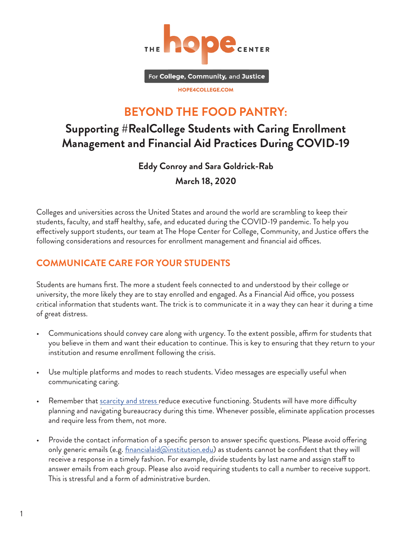

For College, Community, and Justice

HOPE4COLLEGE.COM

# **BEYOND THE FOOD PANTRY:**

# **Supporting #RealCollege Students with Caring Enrollment Management and Financial Aid Practices During COVID-19**

**Eddy Conroy and Sara Goldrick-Rab March 18, 2020**

Colleges and universities across the United States and around the world are scrambling to keep their students, faculty, and staff healthy, safe, and educated during the COVID-19 pandemic. To help you effectively support students, our team at The Hope Center for College, Community, and Justice offers the following considerations and resources for enrollment management and financial aid offices.

# **COMMUNICATE CARE FOR YOUR STUDENTS**

Students are humans first. The more a student feels connected to and understood by their college or university, the more likely they are to stay enrolled and engaged. As a Financial Aid office, you possess critical information that students want. The trick is to communicate it in a way they can hear it during a time of great distress.

- Communications should convey care along with urgency. To the extent possible, affirm for students that you believe in them and want their education to continue. This is key to ensuring that they return to your institution and resume enrollment following the crisis.
- Use multiple platforms and modes to reach students. Video messages are especially useful when communicating caring.
- Remember that <u>[scarcity and stress r](https://www.apa.org/advocacy/socioeconomic-status/scarcity-fact-sheet.pdf)</u>educe executive functioning. Students will have more difficulty planning and navigating bureaucracy during this time. Whenever possible, eliminate application processes and require less from them, not more.
- Provide the contact information of a specific person to answer specific questions. Please avoid offering only generic emails (e.g. *financialaid@institution.edu*) as students cannot be confident that they will receive a response in a timely fashion. For example, divide students by last name and assign staff to answer emails from each group. Please also avoid requiring students to call a number to receive support. This is stressful and a form of administrative burden.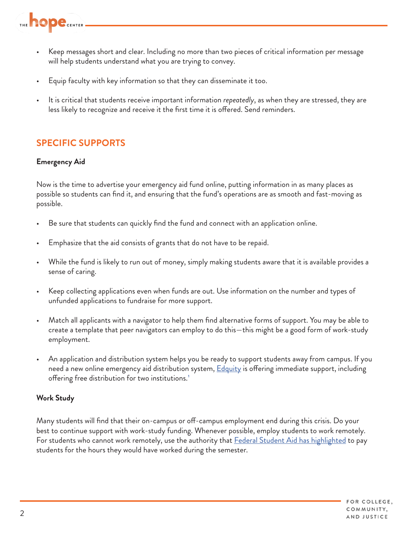

- Keep messages short and clear. Including no more than two pieces of critical information per message will help students understand what you are trying to convey.
- Equip faculty with key information so that they can disseminate it too.
- It is critical that students receive important information *repeatedly*, as when they are stressed, they are less likely to recognize and receive it the first time it is offered. Send reminders.

# **SPECIFIC SUPPORTS**

### **Emergency Aid**

Now is the time to advertise your emergency aid fund online, putting information in as many places as possible so students can find it, and ensuring that the fund's operations are as smooth and fast-moving as possible.

- Be sure that students can quickly find the fund and connect with an application online.
- Emphasize that the aid consists of grants that do not have to be repaid.
- While the fund is likely to run out of money, simply making students aware that it is available provides a sense of caring.
- Keep collecting applications even when funds are out. Use information on the number and types of unfunded applications to fundraise for more support.
- Match all applicants with a navigator to help them find alternative forms of support. You may be able to create a template that peer navigators can employ to do this—this might be a good form of work-study employment.
- An application and distribution system helps you be ready to support students away from campus. If you need a new online emergency aid distribution system, **Edquity** is offering immediate support, including offering free distribution for two institutions.<sup>1</sup>

#### **Work Study**

Many students will find that their on-campus or off-campus employment end during this crisis. Do your best to continue support with work-study funding. Whenever possible, employ students to work remotely. For students who cannot work remotely, use the authority that [Federal Student Aid has highlighted](https://ifap.ed.gov/electronic-announcements/030520Guidance4interruptionsrelated2CoronavirusCOVID19) to pay students for the hours they would have worked during the semester.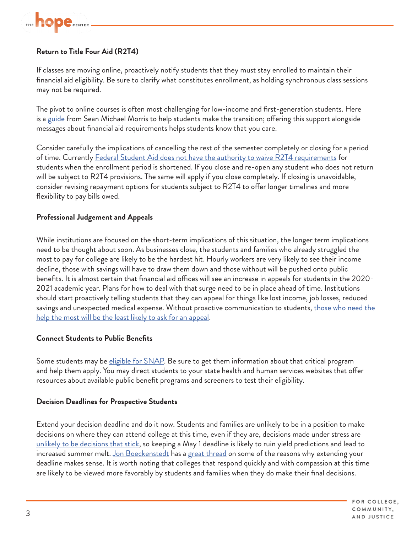

## **Return to Title Four Aid (R2T4)**

If classes are moving online, proactively notify students that they must stay enrolled to maintain their financial aid eligibility. Be sure to clarify what constitutes enrollment, as holding synchronous class sessions may not be required.

The pivot to online courses is often most challenging for low-income and first-generation students. Here is a [guide](https://www.seanmichaelmorris.com/pivot-to-online-a-student-guide/) from Sean Michael Morris to help students make the transition; offering this support alongside messages about financial aid requirements helps students know that you care.

Consider carefully the implications of cancelling the rest of the semester completely or closing for a period of time. Currently [Federal Student Aid does not have the authority to waive R2T4 requirements](https://ifap.ed.gov/electronic-announcements/030520Guidance4interruptionsrelated2CoronavirusCOVID19) for students when the enrollment period is shortened. If you close and re-open any student who does not return will be subject to R2T4 provisions. The same will apply if you close completely. If closing is unavoidable, consider revising repayment options for students subject to R2T4 to offer longer timelines and more flexibility to pay bills owed.

#### **Professional Judgement and Appeals**

While institutions are focused on the short-term implications of this situation, the longer term implications need to be thought about soon. As businesses close, the students and families who already struggled the most to pay for college are likely to be the hardest hit. Hourly workers are very likely to see their income decline, those with savings will have to draw them down and those without will be pushed onto public benefits. It is almost certain that financial aid offices will see an increase in appeals for students in the 2020- 2021 academic year. Plans for how to deal with that surge need to be in place ahead of time. Institutions should start proactively telling students that they can appeal for things like lost income, job losses, reduced savings and unexpected medical expense. Without proactive communication to students, those who need the [help the most will be the least likely to ask for an appeal.](https://scholar.harvard.edu/files/anthonyjack/files/jack_no_harm_soe_forthcoming.pdf)

#### **Connect Students to Public Benefits**

Some students may be *eligible for SNAP*. Be sure to get them information about that critical program and help them apply. You may direct students to your state health and human services websites that offer resources about available public benefit programs and screeners to test their eligibility.

#### **Decision Deadlines for Prospective Students**

Extend your decision deadline and do it now. Students and families are unlikely to be in a position to make decisions on where they can attend college at this time, even if they are, decisions made under stress are [unlikely to be decisions that stick,](https://www.cdc.gov/niosh/mining/UserFiles/works/pdfs/jadmus.pdf) so keeping a May 1 deadline is likely to ruin yield predictions and lead to increased summer melt. [Jon Boeckenstedt](http://www.jon.social/) has a [great thread](https://twitter.com/JonBoeckenstedt/status/1238466413045538817) on some of the reasons why extending your deadline makes sense. It is worth noting that colleges that respond quickly and with compassion at this time are likely to be viewed more favorably by students and families when they do make their final decisions.